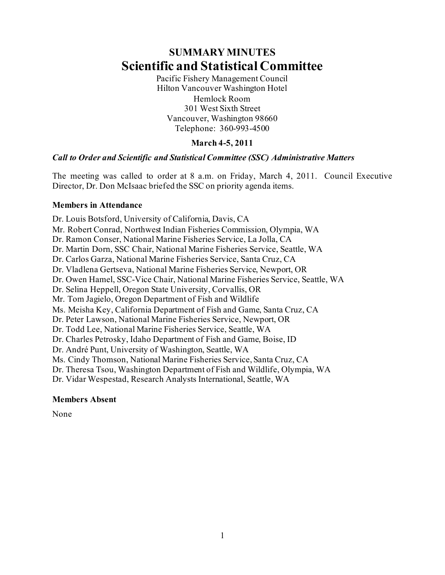# **SUMMARY MINUTES Scientific and Statistical Committee**

Pacific Fishery Management Council Hilton Vancouver Washington Hotel Hemlock Room 301 West Sixth Street Vancouver, Washington 98660 Telephone: 360-993-4500

# **March 4-5, 2011**

#### *Call to Order and Scientific and Statistical Committee (SSC) Administrative Matters*

The meeting was called to order at 8 a.m. on Friday, March 4, 2011. Council Executive Director, Dr. Don McIsaac briefed the SSC on priority agenda items.

#### **Members in Attendance**

Dr. Louis Botsford, University of California, Davis, CA Mr. Robert Conrad, Northwest Indian Fisheries Commission, Olympia, WA Dr. Ramon Conser, National Marine Fisheries Service, La Jolla, CA Dr. Martin Dorn, SSC Chair, National Marine Fisheries Service, Seattle, WA Dr. Carlos Garza, National Marine Fisheries Service, Santa Cruz, CA Dr. Vladlena Gertseva, National Marine Fisheries Service, Newport, OR Dr. Owen Hamel, SSC-Vice Chair, National Marine Fisheries Service, Seattle, WA Dr. Selina Heppell, Oregon State University, Corvallis, OR Mr. Tom Jagielo, Oregon Department of Fish and Wildlife Ms. Meisha Key, California Department of Fish and Game, Santa Cruz, CA Dr. Peter Lawson, National Marine Fisheries Service, Newport, OR Dr. Todd Lee, National Marine Fisheries Service, Seattle, WA Dr. Charles Petrosky, Idaho Department of Fish and Game, Boise, ID Dr. André Punt, University of Washington, Seattle, WA Ms. Cindy Thomson, National Marine Fisheries Service, Santa Cruz, CA Dr. Theresa Tsou, Washington Department of Fish and Wildlife, Olympia, WA Dr. Vidar Wespestad, Research Analysts International, Seattle, WA

#### **Members Absent**

None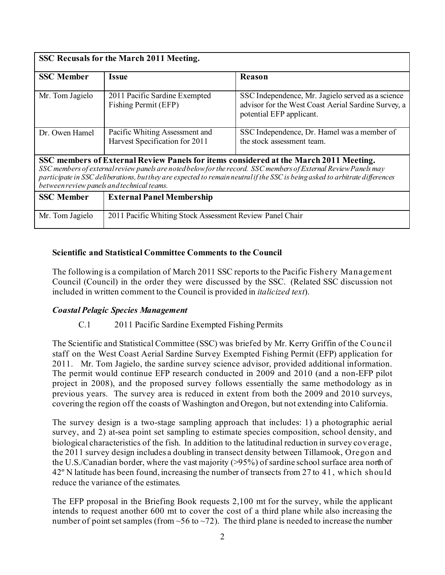| SSC Recusals for the March 2011 Meeting.                                                                                                                                                                                                                                                                                                                                               |                                                                  |                                                                                                                                      |  |  |  |
|----------------------------------------------------------------------------------------------------------------------------------------------------------------------------------------------------------------------------------------------------------------------------------------------------------------------------------------------------------------------------------------|------------------------------------------------------------------|--------------------------------------------------------------------------------------------------------------------------------------|--|--|--|
| <b>SSC Member</b>                                                                                                                                                                                                                                                                                                                                                                      | <i><b>Issue</b></i>                                              | <b>Reason</b>                                                                                                                        |  |  |  |
| Mr. Tom Jagielo                                                                                                                                                                                                                                                                                                                                                                        | 2011 Pacific Sardine Exempted<br>Fishing Permit (EFP)            | SSC Independence, Mr. Jagielo served as a science<br>advisor for the West Coast Aerial Sardine Survey, a<br>potential EFP applicant. |  |  |  |
| Dr. Owen Hamel                                                                                                                                                                                                                                                                                                                                                                         | Pacific Whiting Assessment and<br>Harvest Specification for 2011 | SSC Independence, Dr. Hamel was a member of<br>the stock assessment team.                                                            |  |  |  |
| SSC members of External Review Panels for items considered at the March 2011 Meeting.<br>SSC members of external review panels are noted below for the record. SSC members of External Review Panels may<br>participate in SSC deliberations, but they are expected to remain neutral if the SSC is being asked to arbitrate differences<br>between review panels and technical teams. |                                                                  |                                                                                                                                      |  |  |  |
| <b>SSC Member</b>                                                                                                                                                                                                                                                                                                                                                                      | <b>External Panel Membership</b>                                 |                                                                                                                                      |  |  |  |
| Mr. Tom Jagielo                                                                                                                                                                                                                                                                                                                                                                        | 2011 Pacific Whiting Stock Assessment Review Panel Chair         |                                                                                                                                      |  |  |  |

#### **Scientific and Statistical Committee Comments to the Council**

The following is a compilation of March 2011 SSC reports to the Pacific Fishery Management Council (Council) in the order they were discussed by the SSC. (Related SSC discussion not included in written comment to the Council is provided in *italicized text*).

#### *Coastal Pelagic Species Management*

#### C.1 2011 Pacific Sardine Exempted Fishing Permits

The Scientific and Statistical Committee (SSC) was briefed by Mr. Kerry Griffin of the Council staff on the West Coast Aerial Sardine Survey Exempted Fishing Permit (EFP) application for 2011. Mr. Tom Jagielo, the sardine survey science advisor, provided additional information. The permit would continue EFP research conducted in 2009 and 2010 (and a non-EFP pilot project in 2008), and the proposed survey follows essentially the same methodology as in previous years. The survey area is reduced in extent from both the 2009 and 2010 surveys, covering the region off the coasts of Washington and Oregon, but not extending into California.

The survey design is a two-stage sampling approach that includes: 1) a photographic aerial survey, and 2) at-sea point set sampling to estimate species composition, school density, and biological characteristics of the fish. In addition to the latitudinal reduction in survey coverage, the 2011 survey design includes a doubling in transect density between Tillamook, Oregon and the U.S./Canadian border, where the vast majority (>95%) of sardine school surface area north of 42º N latitude has been found, increasing the number of transects from 27 to 41, which should reduce the variance of the estimates.

The EFP proposal in the Briefing Book requests 2,100 mt for the survey, while the applicant intends to request another 600 mt to cover the cost of a third plane while also increasing the number of point set samples (from  $\sim$  56 to  $\sim$  72). The third plane is needed to increase the number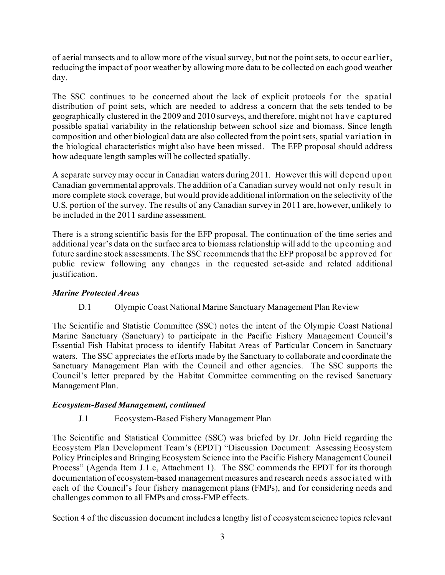of aerial transects and to allow more of the visual survey, but not the point sets, to occur earlier, reducing the impact of poor weather by allowing more data to be collected on each good weather day.

The SSC continues to be concerned about the lack of explicit protocols for the spatial distribution of point sets, which are needed to address a concern that the sets tended to be geographically clustered in the 2009 and 2010 surveys, and therefore, might not have captured possible spatial variability in the relationship between school size and biomass. Since length composition and other biological data are also collected from the point sets, spatial variation in the biological characteristics might also have been missed. The EFP proposal should address how adequate length samples will be collected spatially.

A separate survey may occur in Canadian waters during 2011. However this will depend upon Canadian governmental approvals. The addition of a Canadian survey would not only result in more complete stock coverage, but would provide additional information on the selectivity of the U.S. portion of the survey. The results of any Canadian survey in 2011 are, however, unlikely to be included in the 2011 sardine assessment.

There is a strong scientific basis for the EFP proposal. The continuation of the time series and additional year's data on the surface area to biomass relationship will add to the upcoming and future sardine stock assessments. The SSC recommends that the EFP proposal be approved for public review following any changes in the requested set-aside and related additional justification.

# *Marine Protected Areas*

D.1 Olympic Coast National Marine Sanctuary Management Plan Review

The Scientific and Statistic Committee (SSC) notes the intent of the Olympic Coast National Marine Sanctuary (Sanctuary) to participate in the Pacific Fishery Management Council's Essential Fish Habitat process to identify Habitat Areas of Particular Concern in Sanctuary waters. The SSC appreciates the efforts made by the Sanctuary to collaborate and coordinate the Sanctuary Management Plan with the Council and other agencies. The SSC supports the Council's letter prepared by the Habitat Committee commenting on the revised Sanctuary Management Plan.

#### *Ecosystem-Based Management, continued*

# J.1 Ecosystem-Based Fishery Management Plan

The Scientific and Statistical Committee (SSC) was briefed by Dr. John Field regarding the Ecosystem Plan Development Team's (EPDT) "Discussion Document: Assessing Ecosystem Policy Principles and Bringing Ecosystem Science into the Pacific Fishery Management Council Process" (Agenda Item J.1.c, Attachment 1). The SSC commends the EPDT for its thorough documentation of ecosystem-based management measures and research needs associated with each of the Council's four fishery management plans (FMPs), and for considering needs and challenges common to all FMPs and cross-FMP effects.

Section 4 of the discussion document includes a lengthy list of ecosystem science topics relevant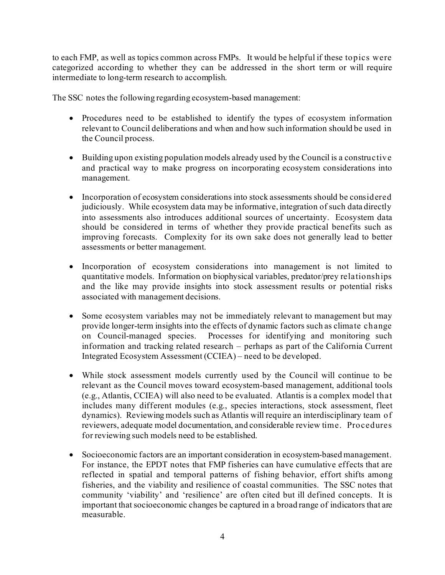to each FMP, as well as topics common across FMPs. It would be helpful if these topics were categorized according to whether they can be addressed in the short term or will require intermediate to long-term research to accomplish.

The SSC notes the following regarding ecosystem-based management:

- Procedures need to be established to identify the types of ecosystem information relevant to Council deliberations and when and how such information should be used in the Council process.
- Building upon existing population models already used by the Council is a constructive and practical way to make progress on incorporating ecosystem considerations into management.
- Incorporation of ecosystem considerations into stock assessments should be considered judiciously. While ecosystem data may be informative, integration of such data directly into assessments also introduces additional sources of uncertainty. Ecosystem data should be considered in terms of whether they provide practical benefits such as improving forecasts. Complexity for its own sake does not generally lead to better assessments or better management.
- Incorporation of ecosystem considerations into management is not limited to quantitative models. Information on biophysical variables, predator/prey relationships and the like may provide insights into stock assessment results or potential risks associated with management decisions.
- Some ecosystem variables may not be immediately relevant to management but may provide longer-term insights into the effects of dynamic factors such as climate change on Council-managed species. Processes for identifying and monitoring such information and tracking related research – perhaps as part of the California Current Integrated Ecosystem Assessment (CCIEA) – need to be developed.
- While stock assessment models currently used by the Council will continue to be relevant as the Council moves toward ecosystem-based management, additional tools (e.g., Atlantis, CCIEA) will also need to be evaluated. Atlantis is a complex model that includes many different modules (e.g., species interactions, stock assessment, fleet dynamics). Reviewing models such as Atlantis will require an interdisciplinary team of reviewers, adequate model documentation, and considerable review time. Procedures for reviewing such models need to be established.
- Socioeconomic factors are an important consideration in ecosystem-based management. For instance, the EPDT notes that FMP fisheries can have cumulative effects that are reflected in spatial and temporal patterns of fishing behavior, effort shifts among fisheries, and the viability and resilience of coastal communities. The SSC notes that community 'viability' and 'resilience' are often cited but ill defined concepts. It is important that socioeconomic changes be captured in a broad range of indicators that are measurable.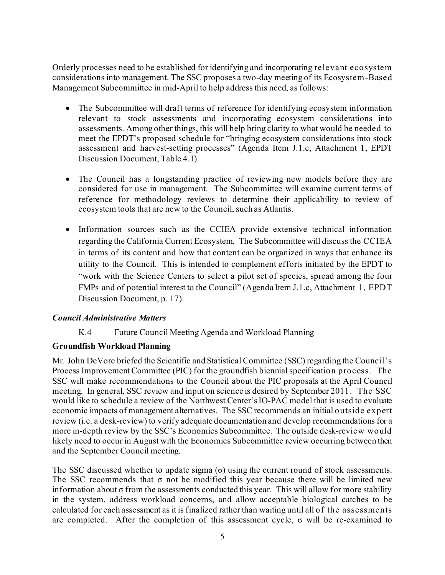Orderly processes need to be established for identifying and incorporating relevant ecosystem considerations into management. The SSC proposes a two-day meeting of its Ecosystem-Based Management Subcommittee in mid-April to help address this need, as follows:

- The Subcommittee will draft terms of reference for identifying ecosystem information relevant to stock assessments and incorporating ecosystem considerations into assessments. Among other things, this will help bring clarity to what would be needed to meet the EPDT's proposed schedule for "bringing ecosystem considerations into stock assessment and harvest-setting processes" (Agenda Item J.1.c, Attachment 1, EPDT Discussion Document, Table 4.1).
- The Council has a longstanding practice of reviewing new models before they are considered for use in management. The Subcommittee will examine current terms of reference for methodology reviews to determine their applicability to review of ecosystem tools that are new to the Council, such as Atlantis.
- Information sources such as the CCIEA provide extensive technical information regarding the California Current Ecosystem. The Subcommittee will discuss the CCIEA in terms of its content and how that content can be organized in ways that enhance its utility to the Council. This is intended to complement efforts initiated by the EPDT to "work with the Science Centers to select a pilot set of species, spread among the four FMPs and of potential interest to the Council" (Agenda Item J.1.c, Attachment 1, EPDT Discussion Document, p. 17).

#### *Council Administrative Matters*

K.4 Future Council Meeting Agenda and Workload Planning

#### **Groundfish Workload Planning**

Mr. John DeVore briefed the Scientific and Statistical Committee (SSC) regarding the Council's Process Improvement Committee (PIC) for the groundfish biennial specification process. The SSC will make recommendations to the Council about the PIC proposals at the April Council meeting. In general, SSC review and input on science is desired by September 2011. The SSC would like to schedule a review of the Northwest Center's IO-PAC model that is used to evaluate economic impacts of management alternatives. The SSC recommends an initial outside expert review (i.e. a desk-review) to verify adequate documentation and develop recommendations for a more in-depth review by the SSC's Economics Subcommittee. The outside desk-review would likely need to occur in August with the Economics Subcommittee review occurring between then and the September Council meeting.

The SSC discussed whether to update sigma  $(\sigma)$  using the current round of stock assessments. The SSC recommends that  $\sigma$  not be modified this year because there will be limited new information about  $\sigma$  from the assessments conducted this year. This will allow for more stability in the system, address workload concerns, and allow acceptable biological catches to be calculated for each assessment as it is finalized rather than waiting until all of the assessments are completed. After the completion of this assessment cycle,  $\sigma$  will be re-examined to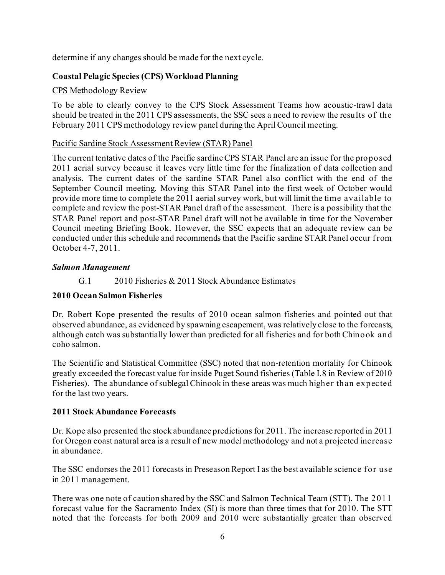determine if any changes should be made for the next cycle.

# **Coastal Pelagic Species (CPS) Workload Planning**

# CPS Methodology Review

To be able to clearly convey to the CPS Stock Assessment Teams how acoustic-trawl data should be treated in the 2011 CPS assessments, the SSC sees a need to review the results of the February 2011 CPS methodology review panel during the April Council meeting.

# Pacific Sardine Stock Assessment Review (STAR) Panel

The current tentative dates of the Pacific sardine CPS STAR Panel are an issue for the proposed 2011 aerial survey because it leaves very little time for the finalization of data collection and analysis. The current dates of the sardine STAR Panel also conflict with the end of the September Council meeting. Moving this STAR Panel into the first week of October would provide more time to complete the 2011 aerial survey work, but will limit the time available to complete and review the post-STAR Panel draft of the assessment. There is a possibility that the STAR Panel report and post-STAR Panel draft will not be available in time for the November Council meeting Briefing Book. However, the SSC expects that an adequate review can be conducted under this schedule and recommends that the Pacific sardine STAR Panel occur from October 4-7, 2011.

# *Salmon Management*

# G.1 2010 Fisheries & 2011 Stock Abundance Estimates

# **2010 Ocean Salmon Fisheries**

Dr. Robert Kope presented the results of 2010 ocean salmon fisheries and pointed out that observed abundance, as evidenced by spawning escapement, was relatively close to the forecasts, although catch was substantially lower than predicted for all fisheries and for both Chinook and coho salmon.

The Scientific and Statistical Committee (SSC) noted that non-retention mortality for Chinook greatly exceeded the forecast value for inside Puget Sound fisheries (Table I.8 in Review of 2010 Fisheries). The abundance of sublegal Chinook in these areas was much higher than expected for the last two years.

# **2011 Stock Abundance Forecasts**

Dr. Kope also presented the stock abundance predictions for 2011. The increase reported in 2011 for Oregon coast natural area is a result of new model methodology and not a projected increase in abundance.

The SSC endorses the 2011 forecasts in Preseason Report I as the best available science for use in 2011 management.

There was one note of caution shared by the SSC and Salmon Technical Team (STT). The 2011 forecast value for the Sacramento Index (SI) is more than three times that for 2010. The STT noted that the forecasts for both 2009 and 2010 were substantially greater than observed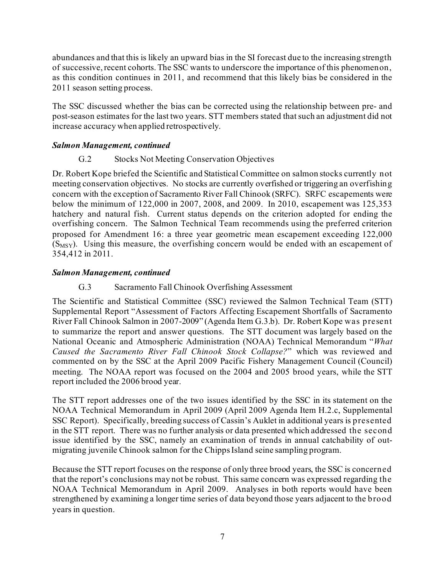abundances and that this is likely an upward bias in the SI forecast due to the increasing strength of successive, recent cohorts. The SSC wants to underscore the importance of this phenomenon, as this condition continues in 2011, and recommend that this likely bias be considered in the 2011 season setting process.

The SSC discussed whether the bias can be corrected using the relationship between pre- and post-season estimates for the last two years. STT members stated that such an adjustment did not increase accuracy when applied retrospectively.

#### *Salmon Management, continued*

# G.2 Stocks Not Meeting Conservation Objectives

Dr. Robert Kope briefed the Scientific and Statistical Committee on salmon stocks currently not meeting conservation objectives. No stocks are currently overfished or triggering an overfishing concern with the exception of Sacramento River Fall Chinook (SRFC). SRFC escapements were below the minimum of 122,000 in 2007, 2008, and 2009. In 2010, escapement was 125,353 hatchery and natural fish. Current status depends on the criterion adopted for ending the overfishing concern. The Salmon Technical Team recommends using the preferred criterion proposed for Amendment 16: a three year geometric mean escapement exceeding 122,000  $(S<sub>MSY</sub>)$ . Using this measure, the overfishing concern would be ended with an escapement of 354,412 in 2011.

### *Salmon Management, continued*

### G.3 Sacramento Fall Chinook Overfishing Assessment

The Scientific and Statistical Committee (SSC) reviewed the Salmon Technical Team (STT) Supplemental Report "Assessment of Factors Affecting Escapement Shortfalls of Sacramento River Fall Chinook Salmon in 2007-2009" (Agenda Item G.3.b). Dr. Robert Kope was present to summarize the report and answer questions. The STT document was largely based on the National Oceanic and Atmospheric Administration (NOAA) Technical Memorandum "*What Caused the Sacramento River Fall Chinook Stock Collapse?*" which was reviewed and commented on by the SSC at the April 2009 Pacific Fishery Management Council (Council) meeting. The NOAA report was focused on the 2004 and 2005 brood years, while the STT report included the 2006 brood year.

The STT report addresses one of the two issues identified by the SSC in its statement on the NOAA Technical Memorandum in April 2009 (April 2009 Agenda Item H.2.c, Supplemental SSC Report). Specifically, breeding success of Cassin's Auklet in additional years is presented in the STT report. There was no further analysis or data presented which addressed the second issue identified by the SSC, namely an examination of trends in annual catchability of outmigrating juvenile Chinook salmon for the Chipps Island seine sampling program.

Because the STT report focuses on the response of only three brood years, the SSC is concerned that the report's conclusions may not be robust. This same concern was expressed regarding the NOAA Technical Memorandum in April 2009. Analyses in both reports would have been strengthened by examining a longer time series of data beyond those years adjacent to the brood years in question.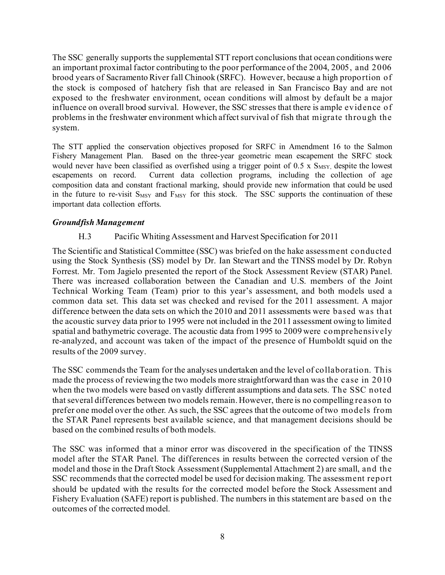The SSC generally supports the supplemental STT report conclusions that ocean conditions were an important proximal factor contributing to the poor performance of the 2004, 2005, and 2006 brood years of Sacramento River fall Chinook (SRFC). However, because a high proportion of the stock is composed of hatchery fish that are released in San Francisco Bay and are not exposed to the freshwater environment, ocean conditions will almost by default be a major influence on overall brood survival. However, the SSC stresses that there is ample evidence of problems in the freshwater environment which affect survival of fish that migrate through the system.

The STT applied the conservation objectives proposed for SRFC in Amendment 16 to the Salmon Fishery Management Plan. Based on the three-year geometric mean escapement the SRFC stock would never have been classified as overfished using a trigger point of  $0.5 \times S_{MSY}$ , despite the lowest escapements on record. Current data collection programs, including the collection of age composition data and constant fractional marking, should provide new information that could be used in the future to re-visit  $S_{MSY}$  and  $F_{MSY}$  for this stock. The SSC supports the continuation of these important data collection efforts.

#### *Groundfish Management*

#### H.3 Pacific Whiting Assessment and Harvest Specification for 2011

The Scientific and Statistical Committee (SSC) was briefed on the hake assessment conducted using the Stock Synthesis (SS) model by Dr. Ian Stewart and the TINSS model by Dr. Robyn Forrest. Mr. Tom Jagielo presented the report of the Stock Assessment Review (STAR) Panel. There was increased collaboration between the Canadian and U.S. members of the Joint Technical Working Team (Team) prior to this year's assessment, and both models used a common data set. This data set was checked and revised for the 2011 assessment. A major difference between the data sets on which the 2010 and 2011 assessments were based was that the acoustic survey data prior to 1995 were not included in the 2011 assessment owing to limited spatial and bathymetric coverage. The acoustic data from 1995 to 2009 were comprehensively re-analyzed, and account was taken of the impact of the presence of Humboldt squid on the results of the 2009 survey.

The SSC commends the Team for the analyses undertaken and the level of collaboration. This made the process of reviewing the two models more straightforward than was the case in 2010 when the two models were based on vastly different assumptions and data sets. The SSC noted that several differences between two models remain. However, there is no compelling reason to prefer one model over the other. As such, the SSC agrees that the outcome of two models from the STAR Panel represents best available science, and that management decisions should be based on the combined results of both models.

The SSC was informed that a minor error was discovered in the specification of the TINSS model after the STAR Panel. The differences in results between the corrected version of the model and those in the Draft Stock Assessment (Supplemental Attachment 2) are small, and the SSC recommends that the corrected model be used for decision making. The assessment report should be updated with the results for the corrected model before the Stock Assessment and Fishery Evaluation (SAFE) report is published. The numbers in this statement are based on the outcomes of the corrected model.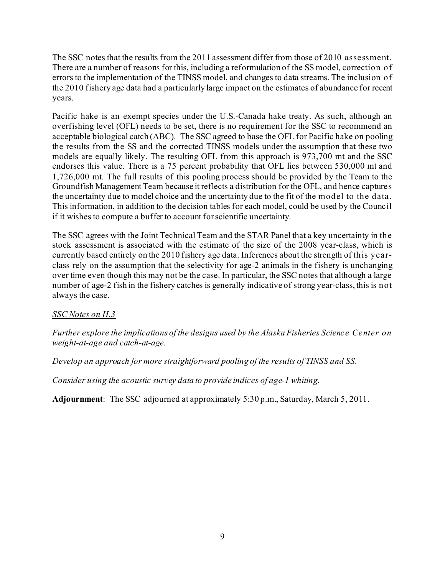The SSC notes that the results from the 2011 assessment differ from those of 2010 assessment. There are a number of reasons for this, including a reformulation of the SS model, correction of errors to the implementation of the TINSS model, and changes to data streams. The inclusion of the 2010 fishery age data had a particularly large impact on the estimates of abundance for recent years.

Pacific hake is an exempt species under the U.S.-Canada hake treaty. As such, although an overfishing level (OFL) needs to be set, there is no requirement for the SSC to recommend an acceptable biological catch (ABC). The SSC agreed to base the OFL for Pacific hake on pooling the results from the SS and the corrected TINSS models under the assumption that these two models are equally likely. The resulting OFL from this approach is 973,700 mt and the SSC endorses this value. There is a 75 percent probability that OFL lies between 530,000 mt and 1,726,000 mt. The full results of this pooling process should be provided by the Team to the Groundfish Management Team because it reflects a distribution for the OFL, and hence captures the uncertainty due to model choice and the uncertainty due to the fit of the model to the data. This information, in addition to the decision tables for each model, could be used by the Council if it wishes to compute a buffer to account for scientific uncertainty.

The SSC agrees with the Joint Technical Team and the STAR Panel that a key uncertainty in the stock assessment is associated with the estimate of the size of the 2008 year-class, which is currently based entirely on the 2010 fishery age data. Inferences about the strength of this yearclass rely on the assumption that the selectivity for age-2 animals in the fishery is unchanging over time even though this may not be the case. In particular, the SSC notes that although a large number of age-2 fish in the fishery catches is generally indicative of strong year-class, this is not always the case.

# *SSC Notes on H.3*

*Further explore the implications of the designs used by the Alaska Fisheries Science Center on weight-at-age and catch-at-age.*

*Develop an approach for more straightforward pooling of the results of TINSS and SS.*

*Consider using the acoustic survey data to provide indices of age-1 whiting.*

**Adjournment**: The SSC adjourned at approximately 5:30 p.m., Saturday, March 5, 2011.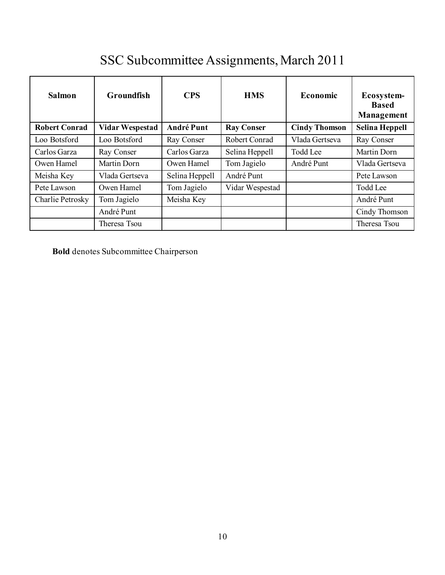# SSC Subcommittee Assignments, March 2011

| <b>Salmon</b>        | <b>Groundfish</b>      | <b>CPS</b>        | <b>HMS</b>        | Economic             | Ecosystem-<br><b>Based</b><br>Management |
|----------------------|------------------------|-------------------|-------------------|----------------------|------------------------------------------|
| <b>Robert Conrad</b> | <b>Vidar Wespestad</b> | <b>André Punt</b> | <b>Ray Conser</b> | <b>Cindy Thomson</b> | Selina Heppell                           |
| Loo Botsford         | Loo Botsford           | Ray Conser        | Robert Conrad     | Vlada Gertseva       | Ray Conser                               |
| Carlos Garza         | Ray Conser             | Carlos Garza      | Selina Heppell    | <b>Todd Lee</b>      | Martin Dorn                              |
| Owen Hamel           | Martin Dorn            | Owen Hamel        | Tom Jagielo       | André Punt           | Vlada Gertseva                           |
| Meisha Key           | Vlada Gertseva         | Selina Heppell    | André Punt        |                      | Pete Lawson                              |
| Pete Lawson          | Owen Hamel             | Tom Jagielo       | Vidar Wespestad   |                      | Todd Lee                                 |
| Charlie Petrosky     | Tom Jagielo            | Meisha Key        |                   |                      | André Punt                               |
|                      | André Punt             |                   |                   |                      | Cindy Thomson                            |
|                      | Theresa Tsou           |                   |                   |                      | Theresa Tsou                             |

**Bold** denotes Subcommittee Chairperson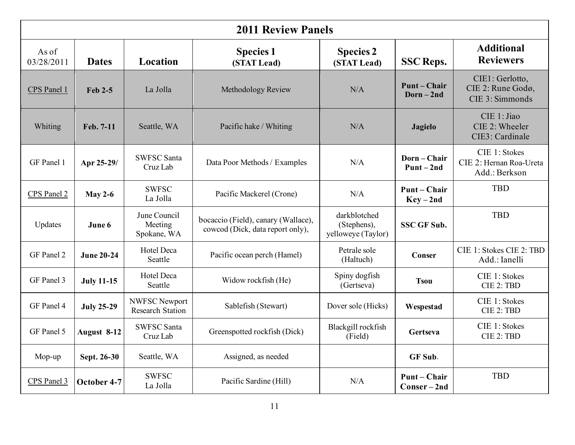| <b>2011 Review Panels</b> |                   |                                                 |                                                                         |                                                   |                                 |                                                           |
|---------------------------|-------------------|-------------------------------------------------|-------------------------------------------------------------------------|---------------------------------------------------|---------------------------------|-----------------------------------------------------------|
| As of<br>03/28/2011       | <b>Dates</b>      | Location                                        | <b>Species 1</b><br>(STAT Lead)                                         | <b>Species 2</b><br>(STAT Lead)                   | <b>SSC Reps.</b>                | <b>Additional</b><br><b>Reviewers</b>                     |
| CPS Panel 1               | Feb 2-5           | La Jolla                                        | Methodology Review                                                      | N/A                                               | <b>Punt-Chair</b><br>$Dorn-2nd$ | CIE1: Gerlotto,<br>CIE 2: Rune Godø,<br>CIE 3: Simmonds   |
| Whiting                   | Feb. 7-11         | Seattle, WA                                     | Pacific hake / Whiting                                                  | N/A                                               | <b>Jagielo</b>                  | CIE 1: Jiao<br>CIE 2: Wheeler<br>CIE3: Cardinale          |
| GF Panel 1                | Apr 25-29/        | <b>SWFSC Santa</b><br>Cruz Lab                  | Data Poor Methods / Examples                                            | N/A                                               | Dorn-Chair<br>$Punt-2nd$        | CIE 1: Stokes<br>CIE 2: Hernan Roa-Ureta<br>Add.: Berkson |
| CPS Panel 2               | May 2-6           | <b>SWFSC</b><br>La Jolla                        | Pacific Mackerel (Crone)                                                | N/A                                               | <b>Punt-Chair</b><br>$Key-2nd$  | <b>TBD</b>                                                |
| Updates                   | June 6            | June Council<br>Meeting<br>Spokane, WA          | bocaccio (Field), canary (Wallace),<br>cowcod (Dick, data report only), | darkblotched<br>(Stephens),<br>yelloweye (Taylor) | <b>SSC GF Sub.</b>              | <b>TBD</b>                                                |
| GF Panel 2                | <b>June 20-24</b> | Hotel Deca<br>Seattle                           | Pacific ocean perch (Hamel)                                             | Petrale sole<br>(Haltuch)                         | <b>Conser</b>                   | CIE 1: Stokes CIE 2: TBD<br>Add.: Ianelli                 |
| GF Panel 3                | <b>July 11-15</b> | Hotel Deca<br>Seattle                           | Widow rockfish (He)                                                     | Spiny dogfish<br>(Gertseva)                       | <b>Tsou</b>                     | CIE 1: Stokes<br>CIE 2: TBD                               |
| GF Panel 4                | <b>July 25-29</b> | <b>NWFSC Newport</b><br><b>Research Station</b> | Sablefish (Stewart)                                                     | Dover sole (Hicks)                                | Wespestad                       | CIE 1: Stokes<br>CIE 2: TBD                               |
| GF Panel 5                | August 8-12       | <b>SWFSC Santa</b><br>Cruz Lab                  | Greenspotted rockfish (Dick)                                            | Blackgill rockfish<br>(Field)                     | Gertseva                        | CIE 1: Stokes<br>CIE 2: TBD                               |
| Mop-up                    | Sept. 26-30       | Seattle, WA                                     | Assigned, as needed                                                     |                                                   | GF Sub.                         |                                                           |
| CPS Panel 3               | October 4-7       | <b>SWFSC</b><br>La Jolla                        | Pacific Sardine (Hill)                                                  | N/A                                               | Punt – Chair<br>Conser-2nd      | <b>TBD</b>                                                |